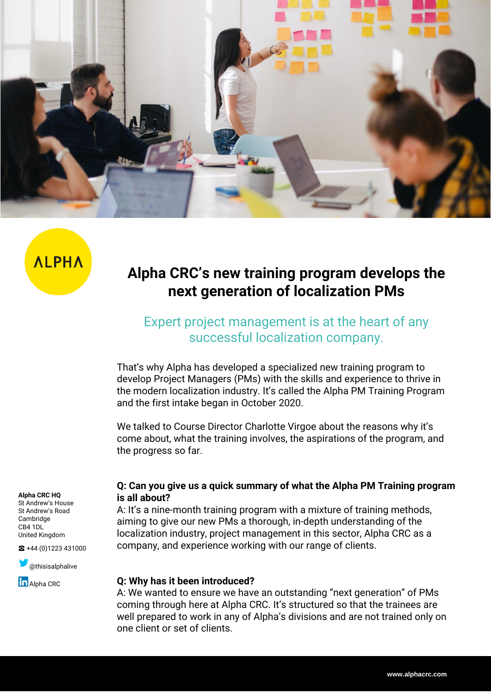

**ALPHA** 

# **Alpha CRC's new training program develops the next generation of localization PMs**

## Expert project management is at the heart of any successful localization company.

That's why Alpha has developed a specialized new training program to develop Project Managers (PMs) with the skills and experience to thrive in the modern localization industry. It's called the Alpha PM Training Program and the first intake began in October 2020.

We talked to Course Director Charlotte Virgoe about the reasons why it's come about, what the training involves, the aspirations of the program, and the progress so far.

#### **Alpha CRC HQ**

St Andrew's House St Andrew's Road Cambridge CB4 1DL United Kingdom

☎ +44 (0)1223 431000

 $\sum$  [@thisisalphalive](https://twitter.com/thisisalphalive) **in** [Alpha](https://www.linkedin.com/company/alpha-crc/) CRC

#### **Q: Can you give us a quick summary of what the Alpha PM Training program is all about?**

A: It's a nine-month training program with a mixture of training methods, aiming to give our new PMs a thorough, in-depth understanding of the localization industry, project management in this sector, Alpha CRC as a company, and experience working with our range of clients.

#### **Q: Why has it been introduced?**

A: We wanted to ensure we have an outstanding "next generation" of PMs coming through here at Alpha CRC. It's structured so that the trainees are well prepared to work in any of Alpha's divisions and are not trained only on one client or set of clients.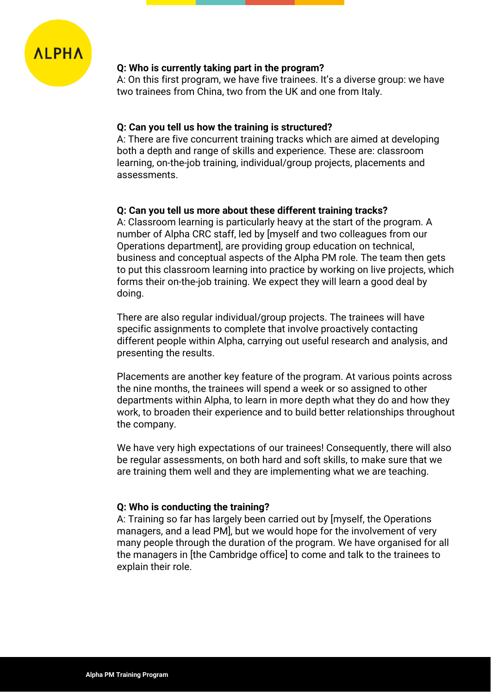

#### **Q: Who is currently taking part in the program?**

A: On this first program, we have five trainees. It's a diverse group: we have two trainees from China, two from the UK and one from Italy.

#### **Q: Can you tell us how the training is structured?**

A: There are five concurrent training tracks which are aimed at developing both a depth and range of skills and experience. These are: classroom learning, on-the-job training, individual/group projects, placements and assessments.

#### **Q: Can you tell us more about these different training tracks?**

A: Classroom learning is particularly heavy at the start of the program. A number of Alpha CRC staff, led by [myself and two colleagues from our Operations department], are providing group education on technical, business and conceptual aspects of the Alpha PM role. The team then gets to put this classroom learning into practice by working on live projects, which forms their on-the-job training. We expect they will learn a good deal by doing.

There are also regular individual/group projects. The trainees will have specific assignments to complete that involve proactively contacting different people within Alpha, carrying out useful research and analysis, and presenting the results.

Placements are another key feature of the program. At various points across the nine months, the trainees will spend a week or so assigned to other departments within Alpha, to learn in more depth what they do and how they work, to broaden their experience and to build better relationships throughout the company.

We have very high expectations of our trainees! Consequently, there will also be regular assessments, on both hard and soft skills, to make sure that we are training them well and they are implementing what we are teaching.

#### **Q: Who is conducting the training?**

A: Training so far has largely been carried out by [myself, the Operations managers, and a lead PM], but we would hope for the involvement of very many people through the duration of the program. We have organised for all the managers in [the Cambridge office] to come and talk to the trainees to explain their role.